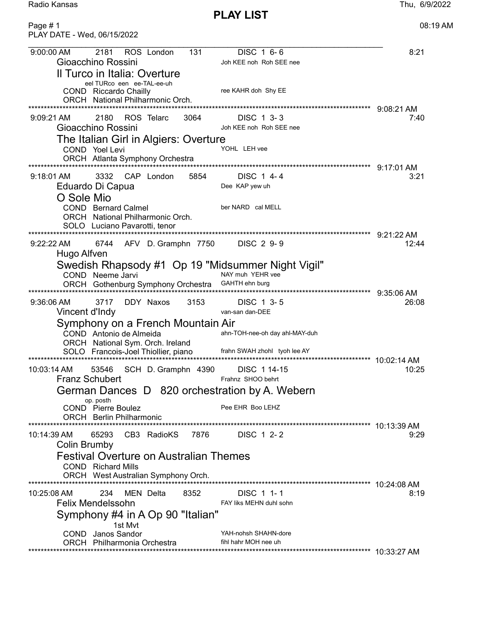PLAY LIST

Radio Kansas Thu, 6/9/2022

| Page #1<br>PLAY DATE - Wed, 06/15/2022                                                                                                                                                                                                                                                                                             | 08:19 AM                                          |
|------------------------------------------------------------------------------------------------------------------------------------------------------------------------------------------------------------------------------------------------------------------------------------------------------------------------------------|---------------------------------------------------|
| 2181<br>ROS London<br>131<br>DISC 1 6-6<br>9:00:00 AM<br>Gioacchino Rossini<br>Joh KEE noh Roh SEE nee<br>Il Turco in Italia: Overture<br>eel TURco een ee-TAL-ee-uh<br>ree KAHR doh Shy EE<br>COND Riccardo Chailly<br>ORCH National Philharmonic Orch.                                                                           | 8:21                                              |
| 2180<br>ROS Telarc<br>3064<br>DISC 1 3-3<br>$9:09:21 \text{ AM}$<br>Gioacchino Rossini<br>Joh KEE noh Roh SEE nee<br>The Italian Girl in Algiers: Overture<br>YOHL LEH vee<br>COND Yoel Levi<br>ORCH Atlanta Symphony Orchestra                                                                                                    | $9:08:21$ AM<br>7:40<br>9:17:01 AM                |
| $9:18:01$ AM<br>3332 CAP London<br>5854<br>DISC 1 4-4<br>Eduardo Di Capua<br>Dee KAP yew uh<br>O Sole Mio<br><b>COND</b> Bernard Calmel<br>ber NARD cal MELL<br>ORCH National Philharmonic Orch.<br>SOLO Luciano Pavarotti, tenor                                                                                                  | 3:21<br>9:21:22 AM                                |
| 6744<br>AFV D. Gramphn 7750<br>DISC 2 9-9<br>$9:22:22 \text{ AM}$<br>Hugo Alfven<br>Swedish Rhapsody #1 Op 19 "Midsummer Night Vigil"<br>NAY muh YEHR vee<br>COND Neeme Jarvi<br>ORCH Gothenburg Symphony Orchestra<br>GAHTH ehn burg                                                                                              | 12:44<br>$9:35:06$ AM                             |
| $9:36:06$ AM<br>3717<br>DDY Naxos<br>3153<br>DISC 1 3-5<br>Vincent d'Indy<br>van-san dan-DEE<br>Symphony on a French Mountain Air<br>COND Antonio de Almeida<br>ahn-TOH-nee-oh day ahl-MAY-duh<br>ORCH National Sym. Orch. Ireland<br>SOLO Francois-Joel Thiollier, piano<br>frahn SWAH zhohl tyoh lee AY<br>********************* | 26:08<br>*************************<br>10:02:14 AM |
| 10:03:14 AM<br>53546<br>SCH D. Gramphn 4390<br>DISC 1 14-15<br><b>Franz Schubert</b><br>Frahnz SHOO behrt<br>German Dances D 820 orchestration by A. Webern<br>op. posth<br>Pee EHR Boo LEHZ<br><b>COND</b> Pierre Boulez<br><b>ORCH</b> Berlin Philharmonic                                                                       | 10:25                                             |
| 65293<br>7876<br>DISC 1 2-2<br>10:14:39 AM<br>CB3 RadioKS<br>Colin Brumby<br><b>Festival Overture on Australian Themes</b><br><b>COND</b> Richard Mills<br>ORCH West Australian Symphony Orch.                                                                                                                                     | 9:29                                              |
| 234<br>8352<br>DISC 1 1-1<br>10:25:08 AM<br>MEN Delta<br><b>Felix Mendelssohn</b><br>FAY liks MEHN duhl sohn<br>Symphony #4 in A Op 90 "Italian"<br>1st Mvt<br>YAH-nohsh SHAHN-dore<br><b>COND</b> Janos Sandor<br>fihl hahr MOH nee uh<br>ORCH Philharmonia Orchestra                                                             | 8:19                                              |
|                                                                                                                                                                                                                                                                                                                                    |                                                   |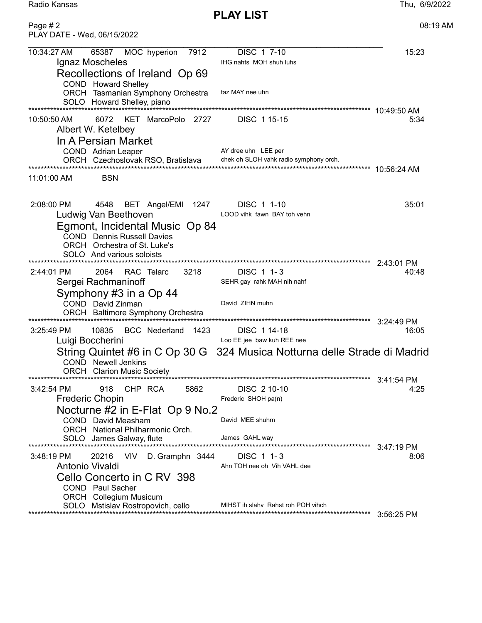Radio Kansas Thu, 6/9/2022

PLAY LIST

| Page $# 2$<br>PLAY DATE - Wed, 06/15/2022                                                                                                                                                                                                                           | 08:19 AM             |
|---------------------------------------------------------------------------------------------------------------------------------------------------------------------------------------------------------------------------------------------------------------------|----------------------|
| 10:34:27 AM<br>MOC hyperion<br>DISC 1 7-10<br>65387<br>7912<br>Ignaz Moscheles<br>IHG nahts MOH shuh luhs<br>Recollections of Ireland Op 69                                                                                                                         | 15:23                |
| COND Howard Shelley<br>taz MAY nee uhn<br>ORCH Tasmanian Symphony Orchestra<br>SOLO Howard Shelley, piano                                                                                                                                                           |                      |
| 6072<br>10:50:50 AM<br>KET MarcoPolo 2727<br>DISC 115-15<br>Albert W. Ketelbey<br>In A Persian Market<br>AY dree uhn LEE per<br>COND Adrian Leaper                                                                                                                  | 5:34                 |
| chek oh SLOH vahk radio symphony orch.<br>ORCH Czechoslovak RSO, Bratislava                                                                                                                                                                                         |                      |
| <b>BSN</b><br>11:01:00 AM                                                                                                                                                                                                                                           |                      |
| 2:08:00 PM<br>4548<br>DISC 1 1-10<br>BET Angel/EMI 1247<br>Ludwig Van Beethoven<br>LOOD vihk fawn BAY toh vehn<br>Egmont, Incidental Music Op 84<br><b>COND</b> Dennis Russell Davies<br>ORCH Orchestra of St. Luke's<br>SOLO And various soloists                  | 35:01                |
| 2064<br>3218<br>DISC 1 1-3<br>2:44:01 PM<br>RAC Telarc<br>Sergei Rachmaninoff<br>SEHR gay rahk MAH nih nahf<br>Symphony #3 in a Op 44<br>David ZIHN muhn<br>COND David Zinman<br>ORCH Baltimore Symphony Orchestra                                                  | 2:43:01 PM<br>40:48  |
| 10835<br>BCC Nederland 1423<br>$3:25:49$ PM<br>DISC 1 14-18                                                                                                                                                                                                         | 3:24:49 PM<br>16:05  |
| Luigi Boccherini<br>Loo EE jee baw kuh REE nee                                                                                                                                                                                                                      |                      |
| String Quintet #6 in C Op 30 G 324 Musica Notturna delle Strade di Madrid<br><b>COND</b> Newell Jenkins<br><b>ORCH</b> Clarion Music Society                                                                                                                        |                      |
| 3:42:54 PM<br>918<br>CHP RCA<br>5862<br>DISC 2 10-10<br><b>Frederic Chopin</b><br>Frederic SHOH pa(n)<br>Nocturne #2 in E-Flat Op 9 No.2<br>David MEE shuhm<br>COND David Measham<br>ORCH National Philharmonic Orch.<br>James GAHL way<br>SOLO James Galway, flute | 4:25                 |
| 20216<br>VIV<br>DISC 1 1-3<br>3:48:19 PM<br>D. Gramphn 3444<br>Antonio Vivaldi<br>Ahn TOH nee oh Vih VAHL dee<br>Cello Concerto in C RV 398<br>COND Paul Sacher<br><b>ORCH</b> Collegium Musicum                                                                    | $3:47:19$ PM<br>8:06 |
| MIHST ih slahv Rahst roh POH vihch<br>SOLO Mstislav Rostropovich, cello                                                                                                                                                                                             |                      |